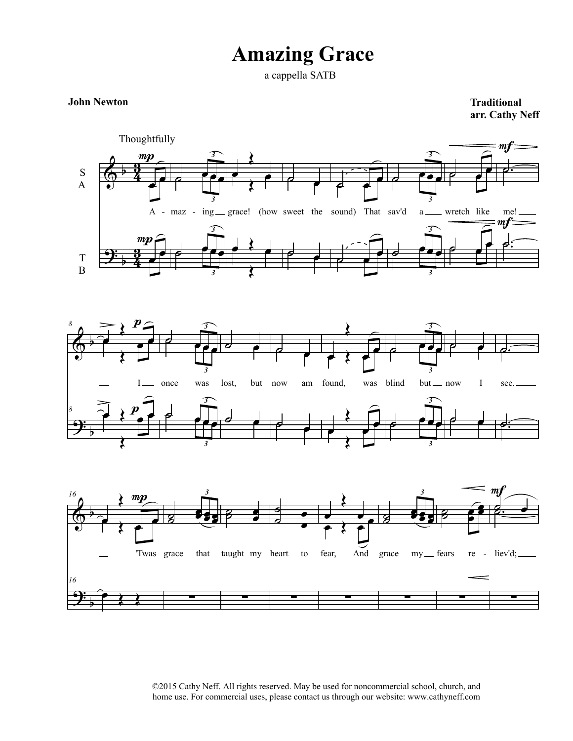## **Amazing Grace**

a cappella SATB

## **John Newton**

**Traditional arr. Cathy Neff**



©2015 Cathy Neff. All rights reserved. May be used for noncommercial school, church, and home use. For commercial uses, please contact us through our website: www.cathyneff.com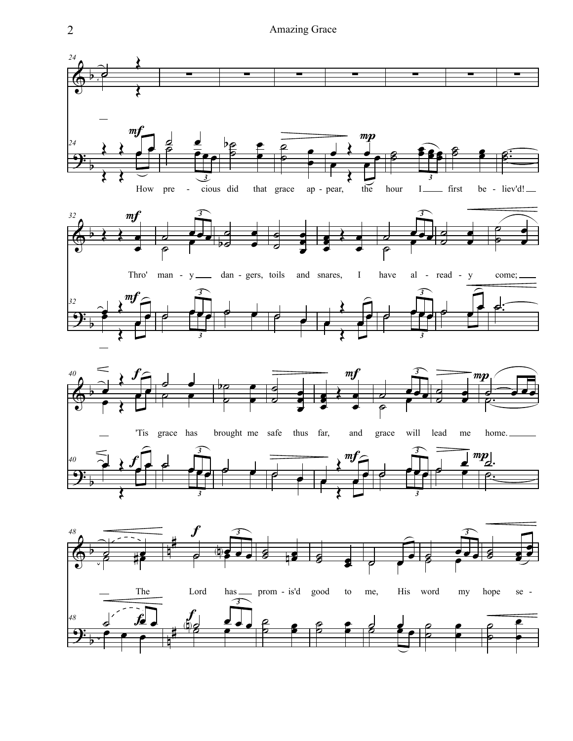Amazing Grace

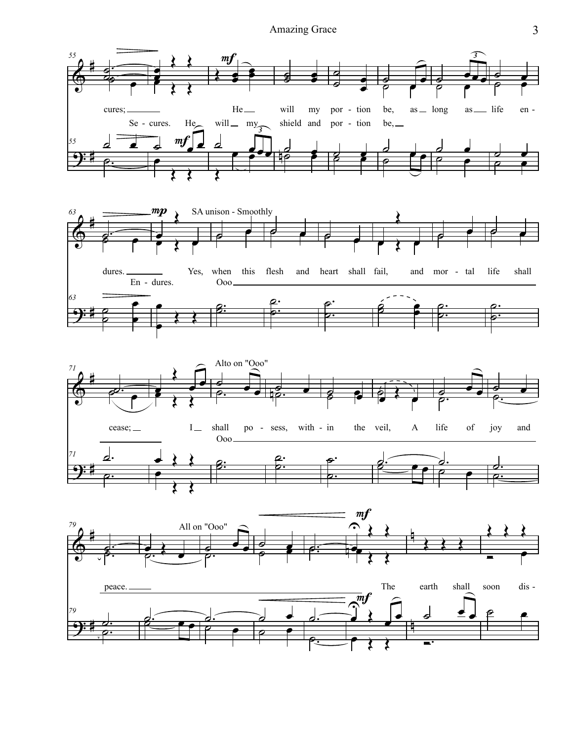## Amazing Grace